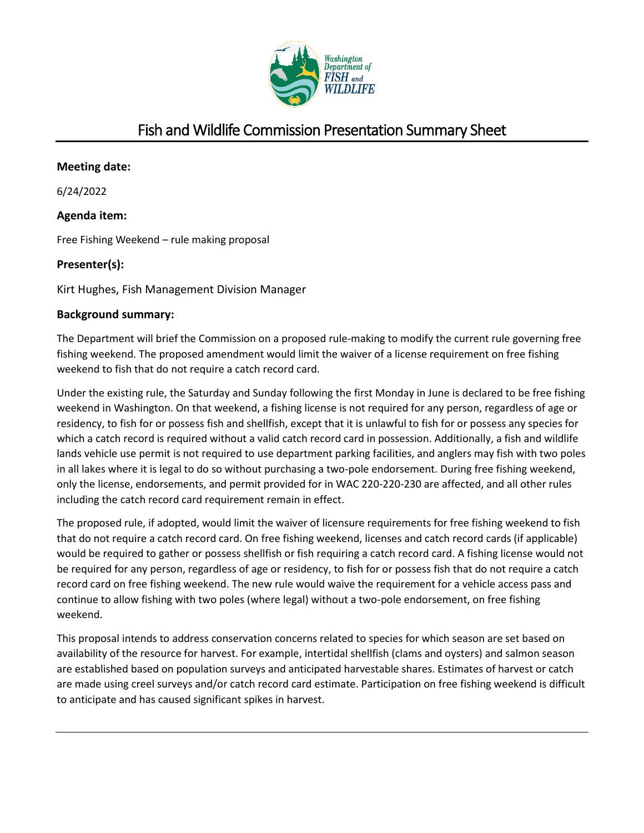

# Fish and Wildlife Commission Presentation Summary Sheet

# **Meeting date:**

6/24/2022

# **Agenda item:**

Free Fishing Weekend – rule making proposal

# **Presenter(s):**

Kirt Hughes, Fish Management Division Manager

# **Background summary:**

The Department will brief the Commission on a proposed rule-making to modify the current rule governing free fishing weekend. The proposed amendment would limit the waiver of a license requirement on free fishing weekend to fish that do not require a catch record card.

Under the existing rule, the Saturday and Sunday following the first Monday in June is declared to be free fishing weekend in Washington. On that weekend, a fishing license is not required for any person, regardless of age or residency, to fish for or possess fish and shellfish, except that it is unlawful to fish for or possess any species for which a catch record is required without a valid catch record card in possession. Additionally, a fish and wildlife lands vehicle use permit is not required to use department parking facilities, and anglers may fish with two poles in all lakes where it is legal to do so without purchasing a two-pole endorsement. During free fishing weekend, only the license, endorsements, and permit provided for in WAC 220-220-230 are affected, and all other rules including the catch record card requirement remain in effect.

The proposed rule, if adopted, would limit the waiver of licensure requirements for free fishing weekend to fish that do not require a catch record card. On free fishing weekend, licenses and catch record cards (if applicable) would be required to gather or possess shellfish or fish requiring a catch record card. A fishing license would not be required for any person, regardless of age or residency, to fish for or possess fish that do not require a catch record card on free fishing weekend. The new rule would waive the requirement for a vehicle access pass and continue to allow fishing with two poles (where legal) without a two-pole endorsement, on free fishing weekend.

This proposal intends to address conservation concerns related to species for which season are set based on availability of the resource for harvest. For example, intertidal shellfish (clams and oysters) and salmon season are established based on population surveys and anticipated harvestable shares. Estimates of harvest or catch are made using creel surveys and/or catch record card estimate. Participation on free fishing weekend is difficult to anticipate and has caused significant spikes in harvest.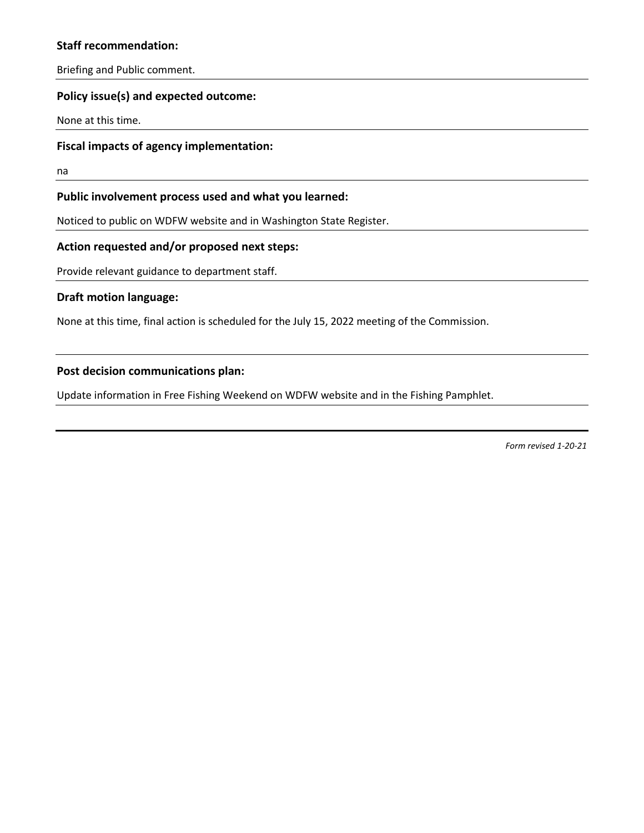# **Staff recommendation:**

Briefing and Public comment.

## **Policy issue(s) and expected outcome:**

None at this time.

#### **Fiscal impacts of agency implementation:**

na

#### **Public involvement process used and what you learned:**

Noticed to public on WDFW website and in Washington State Register.

# **Action requested and/or proposed next steps:**

Provide relevant guidance to department staff.

#### **Draft motion language:**

None at this time, final action is scheduled for the July 15, 2022 meeting of the Commission.

## **Post decision communications plan:**

Update information in Free Fishing Weekend on WDFW website and in the Fishing Pamphlet.

*Form revised 1-20-21*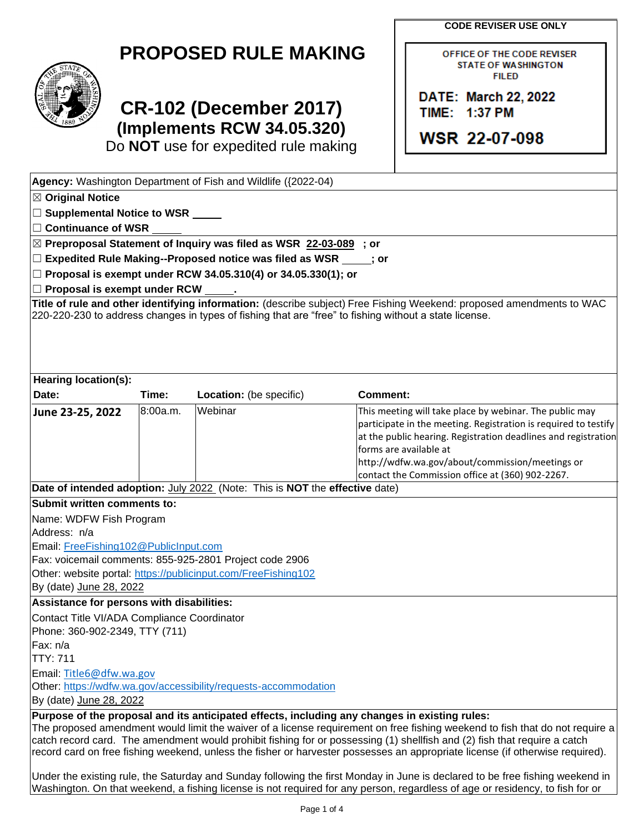**CODE REVISER USE ONLY**

OFFICE OF THE CODE REVISER **STATE OF WASHINGTON FILED** 

DATE: March 22, 2022

**WSR 22-07-098** 

TIME: 1:37 PM

| <b>PROPOSED RULE MAKING</b> |  |  |
|-----------------------------|--|--|
|-----------------------------|--|--|



# **CR-102 (December 2017) (Implements RCW 34.05.320)**

Do **NOT** use for expedited rule making

| Agency: Washington Department of Fish and Wildlife ({2022-04)                                                                                                                                                                                                                                                                                                                                                                                                                                                                                                                                                                                                                                                                                                 |                                                                                                                                                                                                                                                                                                                               |  |  |  |
|---------------------------------------------------------------------------------------------------------------------------------------------------------------------------------------------------------------------------------------------------------------------------------------------------------------------------------------------------------------------------------------------------------------------------------------------------------------------------------------------------------------------------------------------------------------------------------------------------------------------------------------------------------------------------------------------------------------------------------------------------------------|-------------------------------------------------------------------------------------------------------------------------------------------------------------------------------------------------------------------------------------------------------------------------------------------------------------------------------|--|--|--|
| $\boxtimes$ Original Notice                                                                                                                                                                                                                                                                                                                                                                                                                                                                                                                                                                                                                                                                                                                                   |                                                                                                                                                                                                                                                                                                                               |  |  |  |
| □ Supplemental Notice to WSR _____                                                                                                                                                                                                                                                                                                                                                                                                                                                                                                                                                                                                                                                                                                                            |                                                                                                                                                                                                                                                                                                                               |  |  |  |
| □ Continuance of WSR                                                                                                                                                                                                                                                                                                                                                                                                                                                                                                                                                                                                                                                                                                                                          |                                                                                                                                                                                                                                                                                                                               |  |  |  |
| ⊠ Preproposal Statement of Inquiry was filed as WSR 22-03-089 ; or                                                                                                                                                                                                                                                                                                                                                                                                                                                                                                                                                                                                                                                                                            |                                                                                                                                                                                                                                                                                                                               |  |  |  |
| □ Expedited Rule Making--Proposed notice was filed as WSR _____; or<br>$\Box$ Proposal is exempt under RCW 34.05.310(4) or 34.05.330(1); or                                                                                                                                                                                                                                                                                                                                                                                                                                                                                                                                                                                                                   |                                                                                                                                                                                                                                                                                                                               |  |  |  |
|                                                                                                                                                                                                                                                                                                                                                                                                                                                                                                                                                                                                                                                                                                                                                               |                                                                                                                                                                                                                                                                                                                               |  |  |  |
| Title of rule and other identifying information: (describe subject) Free Fishing Weekend: proposed amendments to WAC<br>220-220-230 to address changes in types of fishing that are "free" to fishing without a state license.                                                                                                                                                                                                                                                                                                                                                                                                                                                                                                                                |                                                                                                                                                                                                                                                                                                                               |  |  |  |
| Hearing location(s):                                                                                                                                                                                                                                                                                                                                                                                                                                                                                                                                                                                                                                                                                                                                          |                                                                                                                                                                                                                                                                                                                               |  |  |  |
| Date:<br>Time:<br>Location: (be specific)                                                                                                                                                                                                                                                                                                                                                                                                                                                                                                                                                                                                                                                                                                                     | Comment:                                                                                                                                                                                                                                                                                                                      |  |  |  |
| 8:00a.m.<br>Webinar<br>June 23-25, 2022                                                                                                                                                                                                                                                                                                                                                                                                                                                                                                                                                                                                                                                                                                                       | This meeting will take place by webinar. The public may<br>participate in the meeting. Registration is required to testify<br>at the public hearing. Registration deadlines and registration<br>forms are available at<br>http://wdfw.wa.gov/about/commission/meetings or<br>contact the Commission office at (360) 902-2267. |  |  |  |
| Date of intended adoption: July 2022 (Note: This is NOT the effective date)                                                                                                                                                                                                                                                                                                                                                                                                                                                                                                                                                                                                                                                                                   |                                                                                                                                                                                                                                                                                                                               |  |  |  |
| Submit written comments to:                                                                                                                                                                                                                                                                                                                                                                                                                                                                                                                                                                                                                                                                                                                                   |                                                                                                                                                                                                                                                                                                                               |  |  |  |
| Name: WDFW Fish Program                                                                                                                                                                                                                                                                                                                                                                                                                                                                                                                                                                                                                                                                                                                                       |                                                                                                                                                                                                                                                                                                                               |  |  |  |
| Address: n/a                                                                                                                                                                                                                                                                                                                                                                                                                                                                                                                                                                                                                                                                                                                                                  |                                                                                                                                                                                                                                                                                                                               |  |  |  |
| Email: FreeFishing102@PublicInput.com                                                                                                                                                                                                                                                                                                                                                                                                                                                                                                                                                                                                                                                                                                                         |                                                                                                                                                                                                                                                                                                                               |  |  |  |
| Fax: voicemail comments: 855-925-2801 Project code 2906                                                                                                                                                                                                                                                                                                                                                                                                                                                                                                                                                                                                                                                                                                       |                                                                                                                                                                                                                                                                                                                               |  |  |  |
| Other: website portal: https://publicinput.com/FreeFishing102                                                                                                                                                                                                                                                                                                                                                                                                                                                                                                                                                                                                                                                                                                 |                                                                                                                                                                                                                                                                                                                               |  |  |  |
| By (date) June 28, 2022                                                                                                                                                                                                                                                                                                                                                                                                                                                                                                                                                                                                                                                                                                                                       |                                                                                                                                                                                                                                                                                                                               |  |  |  |
| Assistance for persons with disabilities:                                                                                                                                                                                                                                                                                                                                                                                                                                                                                                                                                                                                                                                                                                                     |                                                                                                                                                                                                                                                                                                                               |  |  |  |
| Contact Title VI/ADA Compliance Coordinator<br>Phone: 360-902-2349, TTY (711)                                                                                                                                                                                                                                                                                                                                                                                                                                                                                                                                                                                                                                                                                 |                                                                                                                                                                                                                                                                                                                               |  |  |  |
| Fax: n/a                                                                                                                                                                                                                                                                                                                                                                                                                                                                                                                                                                                                                                                                                                                                                      |                                                                                                                                                                                                                                                                                                                               |  |  |  |
| <b>TTY: 711</b>                                                                                                                                                                                                                                                                                                                                                                                                                                                                                                                                                                                                                                                                                                                                               |                                                                                                                                                                                                                                                                                                                               |  |  |  |
| Email: Title6@dfw.wa.gov                                                                                                                                                                                                                                                                                                                                                                                                                                                                                                                                                                                                                                                                                                                                      |                                                                                                                                                                                                                                                                                                                               |  |  |  |
| Other: https://wdfw.wa.gov/accessibility/requests-accommodation                                                                                                                                                                                                                                                                                                                                                                                                                                                                                                                                                                                                                                                                                               |                                                                                                                                                                                                                                                                                                                               |  |  |  |
| By (date) June 28, 2022                                                                                                                                                                                                                                                                                                                                                                                                                                                                                                                                                                                                                                                                                                                                       |                                                                                                                                                                                                                                                                                                                               |  |  |  |
| Purpose of the proposal and its anticipated effects, including any changes in existing rules:<br>The proposed amendment would limit the waiver of a license requirement on free fishing weekend to fish that do not require a<br>catch record card. The amendment would prohibit fishing for or possessing (1) shellfish and (2) fish that require a catch<br>record card on free fishing weekend, unless the fisher or harvester possesses an appropriate license (if otherwise required).<br>Under the existing rule, the Saturday and Sunday following the first Monday in June is declared to be free fishing weekend in<br>Washington. On that weekend, a fishing license is not required for any person, regardless of age or residency, to fish for or |                                                                                                                                                                                                                                                                                                                               |  |  |  |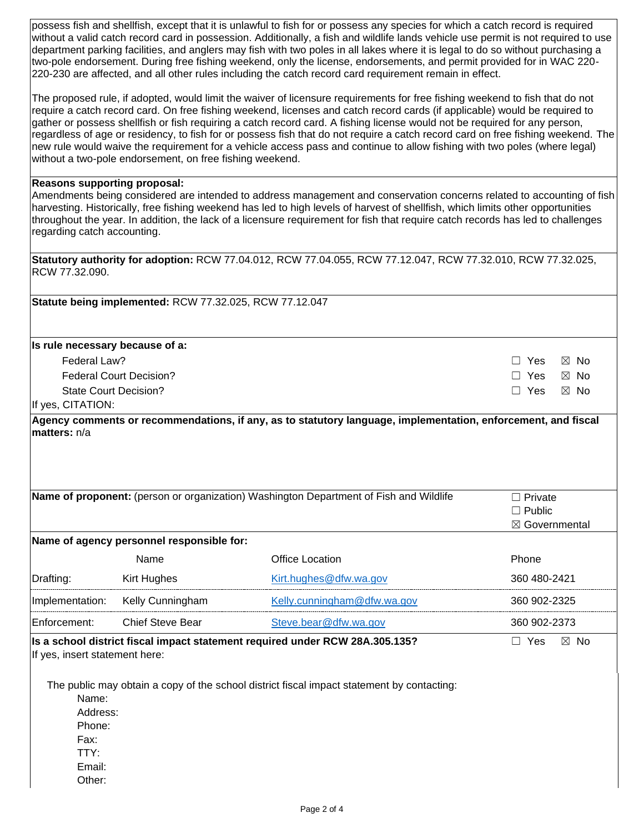possess fish and shellfish, except that it is unlawful to fish for or possess any species for which a catch record is required without a valid catch record card in possession. Additionally, a fish and wildlife lands vehicle use permit is not required to use department parking facilities, and anglers may fish with two poles in all lakes where it is legal to do so without purchasing a two-pole endorsement. During free fishing weekend, only the license, endorsements, and permit provided for in WAC 220- 220-230 are affected, and all other rules including the catch record card requirement remain in effect.

The proposed rule, if adopted, would limit the waiver of licensure requirements for free fishing weekend to fish that do not require a catch record card. On free fishing weekend, licenses and catch record cards (if applicable) would be required to gather or possess shellfish or fish requiring a catch record card. A fishing license would not be required for any person, regardless of age or residency, to fish for or possess fish that do not require a catch record card on free fishing weekend. The new rule would waive the requirement for a vehicle access pass and continue to allow fishing with two poles (where legal) without a two-pole endorsement, on free fishing weekend.

#### **Reasons supporting proposal:**

Amendments being considered are intended to address management and conservation concerns related to accounting of fish harvesting. Historically, free fishing weekend has led to high levels of harvest of shellfish, which limits other opportunities throughout the year. In addition, the lack of a licensure requirement for fish that require catch records has led to challenges regarding catch accounting.

**Statutory authority for adoption:** RCW 77.04.012, RCW 77.04.055, RCW 77.12.047, RCW 77.32.010, RCW 77.32.025, RCW 77.32.090.

**Statute being implemented:** RCW 77.32.025, RCW 77.12.047

#### **Is rule necessary because of a:**

| Federal Law?                   | □ Yes ⊠ No |  |
|--------------------------------|------------|--|
| <b>Federal Court Decision?</b> | □ Yes ⊠ No |  |
| State Court Decision?          | □ Yes ⊠ No |  |
| $f_{VOR}$ $CITATIONF$          |            |  |

If yes, CITATION:

**Agency comments or recommendations, if any, as to statutory language, implementation, enforcement, and fiscal matters:** n/a

|                                |                                           | <b>Name of proponent:</b> (person or organization) Washington Department of Fish and Wildlife | $\Box$ Private<br>$\Box$ Public |
|--------------------------------|-------------------------------------------|-----------------------------------------------------------------------------------------------|---------------------------------|
|                                | Name of agency personnel responsible for: |                                                                                               | $\boxtimes$ Governmental        |
|                                | <b>Name</b>                               | Office Location                                                                               | Phone                           |
| Drafting:                      | Kirt Hughes                               | Kirt.hughes@dfw.wa.gov                                                                        | 360 480-2421                    |
| Implementation:                | Kelly Cunningham                          | Kelly.cunningham@dfw.wa.gov                                                                   | 360 902-2325                    |
| <b>Enforcement:</b>            | Chief Steve Bear                          | Steve.bear@dfw.wa.gov                                                                         | 360 902-2373                    |
| If yes, insert statement here: |                                           | Is a school district fiscal impact statement required under RCW 28A.305.135?                  | $\boxtimes$ No<br>Yes           |

The public may obtain a copy of the school district fiscal impact statement by contacting:

Name: Address: Phone: Fax: TTY: Email:

Other: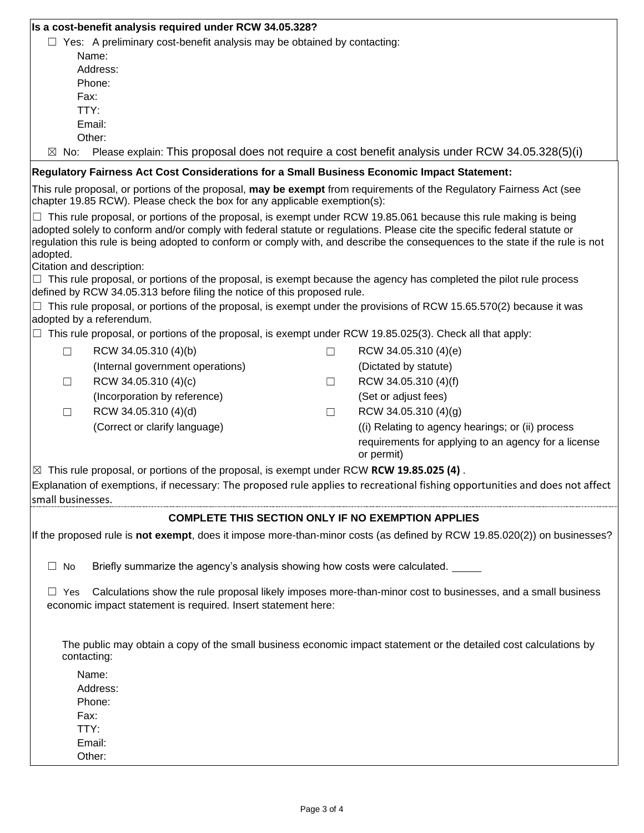| Is a cost-benefit analysis required under RCW 34.05.328?<br>$\Box$ Yes: A preliminary cost-benefit analysis may be obtained by contacting:<br>Name:<br>Address:<br>Phone:<br>Fax:<br>TTY:<br>Email:                                                 |
|-----------------------------------------------------------------------------------------------------------------------------------------------------------------------------------------------------------------------------------------------------|
|                                                                                                                                                                                                                                                     |
|                                                                                                                                                                                                                                                     |
|                                                                                                                                                                                                                                                     |
|                                                                                                                                                                                                                                                     |
|                                                                                                                                                                                                                                                     |
|                                                                                                                                                                                                                                                     |
|                                                                                                                                                                                                                                                     |
|                                                                                                                                                                                                                                                     |
| Other:                                                                                                                                                                                                                                              |
| Please explain: This proposal does not require a cost benefit analysis under RCW 34.05.328(5)(i)<br>$\boxtimes$ No:                                                                                                                                 |
| Regulatory Fairness Act Cost Considerations for a Small Business Economic Impact Statement:                                                                                                                                                         |
| This rule proposal, or portions of the proposal, may be exempt from requirements of the Regulatory Fairness Act (see<br>chapter 19.85 RCW). Please check the box for any applicable exemption(s):                                                   |
| $\Box$ This rule proposal, or portions of the proposal, is exempt under RCW 19.85.061 because this rule making is being<br>adopted solely to conform and/or comply with federal statute or regulations. Please cite the specific federal statute or |
| regulation this rule is being adopted to conform or comply with, and describe the consequences to the state if the rule is not                                                                                                                      |
| adopted.                                                                                                                                                                                                                                            |
| Citation and description:                                                                                                                                                                                                                           |
| $\Box$ This rule proposal, or portions of the proposal, is exempt because the agency has completed the pilot rule process                                                                                                                           |
| defined by RCW 34.05.313 before filing the notice of this proposed rule.                                                                                                                                                                            |
| $\Box$ This rule proposal, or portions of the proposal, is exempt under the provisions of RCW 15.65.570(2) because it was<br>adopted by a referendum.                                                                                               |
| This rule proposal, or portions of the proposal, is exempt under RCW 19.85.025(3). Check all that apply:                                                                                                                                            |
|                                                                                                                                                                                                                                                     |
| RCW 34.05.310 (4)(b)<br>RCW 34.05.310 (4)(e)<br>П<br>□                                                                                                                                                                                              |
| (Internal government operations)<br>(Dictated by statute)                                                                                                                                                                                           |
| RCW 34.05.310 (4)(c)<br>RCW 34.05.310 (4)(f)<br>$\Box$<br>$\Box$                                                                                                                                                                                    |
| (Incorporation by reference)<br>(Set or adjust fees)                                                                                                                                                                                                |
| RCW 34.05.310 (4)(d)<br>RCW 34.05.310 (4)(g)<br>□<br>ш                                                                                                                                                                                              |
| (Correct or clarify language)<br>((i) Relating to agency hearings; or (ii) process                                                                                                                                                                  |
| requirements for applying to an agency for a license                                                                                                                                                                                                |
| or permit)                                                                                                                                                                                                                                          |
| $\vert\boxtimes\vert$ This rule proposal, or portions of the proposal, is exempt under RCW RCW 19.85.025 (4).                                                                                                                                       |
| Explanation of exemptions, if necessary: The proposed rule applies to recreational fishing opportunities and does not affect                                                                                                                        |
| small businesses.                                                                                                                                                                                                                                   |
| <b>COMPLETE THIS SECTION ONLY IF NO EXEMPTION APPLIES</b>                                                                                                                                                                                           |
|                                                                                                                                                                                                                                                     |
| If the proposed rule is not exempt, does it impose more-than-minor costs (as defined by RCW 19.85.020(2)) on businesses?                                                                                                                            |
| Briefly summarize the agency's analysis showing how costs were calculated.<br>$\Box$ No                                                                                                                                                             |
| Calculations show the rule proposal likely imposes more-than-minor cost to businesses, and a small business<br>$\Box$ Yes<br>economic impact statement is required. Insert statement here:                                                          |
|                                                                                                                                                                                                                                                     |
| The public may obtain a copy of the small business economic impact statement or the detailed cost calculations by                                                                                                                                   |
| contacting:                                                                                                                                                                                                                                         |
| Name:                                                                                                                                                                                                                                               |
| Address:                                                                                                                                                                                                                                            |
| Phone:                                                                                                                                                                                                                                              |
| Fax:                                                                                                                                                                                                                                                |
| TTY:                                                                                                                                                                                                                                                |
| Email:                                                                                                                                                                                                                                              |
| Other:                                                                                                                                                                                                                                              |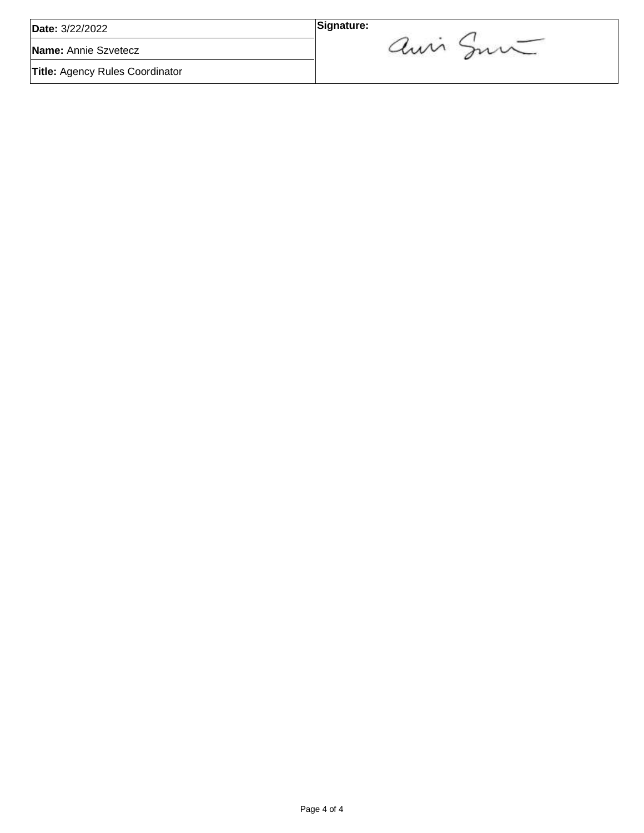| Date: 3/22/2022                        | Signature: |
|----------------------------------------|------------|
| Name: Annie Szvetecz                   | an mi      |
| <b>Title: Agency Rules Coordinator</b> |            |